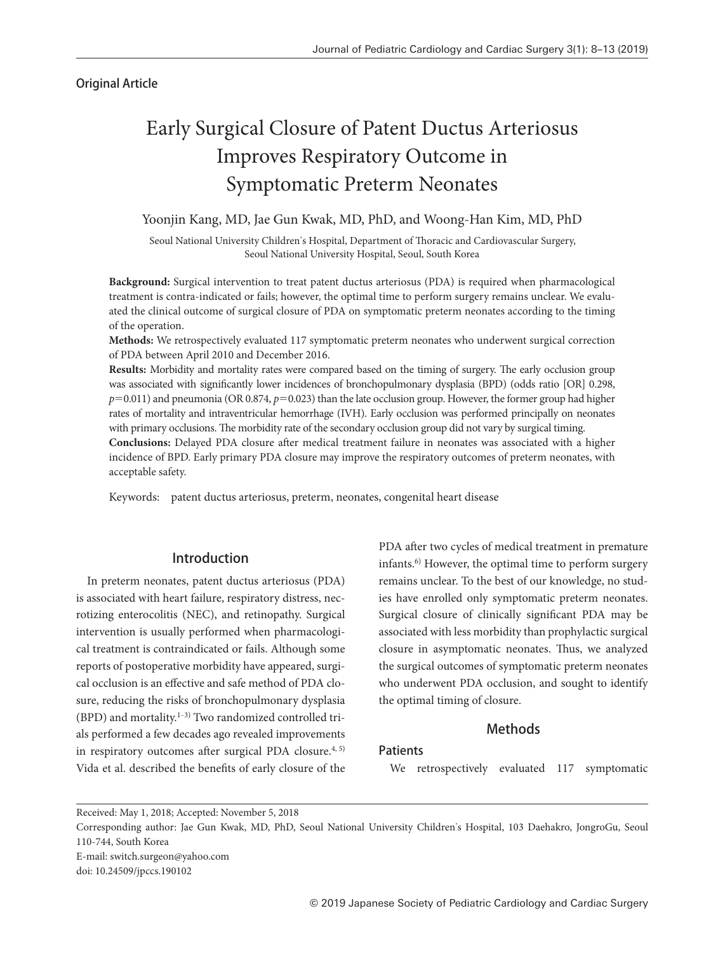# Original Article

# Early Surgical Closure of Patent Ductus Arteriosus Improves Respiratory Outcome in Symptomatic Preterm Neonates

## Yoonjin Kang, MD, Jae Gun Kwak, MD, PhD, and Woong-Han Kim, MD, PhD

 Seoul National University Children's Hospital, Department of Thoracic and Cardiovascular Surgery, Seoul National University Hospital, Seoul, South Korea

**Background:** Surgical intervention to treat patent ductus arteriosus (PDA) is required when pharmacological treatment is contra-indicated or fails; however, the optimal time to perform surgery remains unclear. We evaluated the clinical outcome of surgical closure of PDA on symptomatic preterm neonates according to the timing of the operation.

**Methods:** We retrospectively evaluated 117 symptomatic preterm neonates who underwent surgical correction of PDA between April 2010 and December 2016.

**Results:** Morbidity and mortality rates were compared based on the timing of surgery. The early occlusion group was associated with significantly lower incidences of bronchopulmonary dysplasia (BPD) (odds ratio [OR] 0.298, *p*=0.011) and pneumonia (OR 0.874, *p*=0.023) than the late occlusion group. However, the former group had higher rates of mortality and intraventricular hemorrhage (IVH). Early occlusion was performed principally on neonates with primary occlusions. The morbidity rate of the secondary occlusion group did not vary by surgical timing.

**Conclusions:** Delayed PDA closure after medical treatment failure in neonates was associated with a higher incidence of BPD. Early primary PDA closure may improve the respiratory outcomes of preterm neonates, with acceptable safety.

Keywords: patent ductus arteriosus, preterm, neonates, congenital heart disease

# Introduction

In preterm neonates, patent ductus arteriosus (PDA) is associated with heart failure, respiratory distress, necrotizing enterocolitis (NEC), and retinopathy. Surgical intervention is usually performed when pharmacological treatment is contraindicated or fails. Although some reports of postoperative morbidity have appeared, surgical occlusion is an effective and safe method of PDA closure, reducing the risks of bronchopulmonary dysplasia (BPD) and mortality. $1-3$ ) Two randomized controlled trials performed a few decades ago revealed improvements in respiratory outcomes after surgical PDA closure.<sup>4, 5)</sup> Vida et al. described the benefits of early closure of the PDA after two cycles of medical treatment in premature infants.6) However, the optimal time to perform surgery remains unclear. To the best of our knowledge, no studies have enrolled only symptomatic preterm neonates. Surgical closure of clinically significant PDA may be associated with less morbidity than prophylactic surgical closure in asymptomatic neonates. Thus, we analyzed the surgical outcomes of symptomatic preterm neonates who underwent PDA occlusion, and sought to identify the optimal timing of closure.

## **Methods**

## **Patients**

We retrospectively evaluated 117 symptomatic

E-mail: switch.surgeon@yahoo.com doi: 10.24509/jpccs.190102

Received: May 1, 2018; Accepted: November 5, 2018

Corresponding author: Jae Gun Kwak, MD, PhD, Seoul National University Children's Hospital, 103 Daehakro, JongroGu, Seoul 110-744, South Korea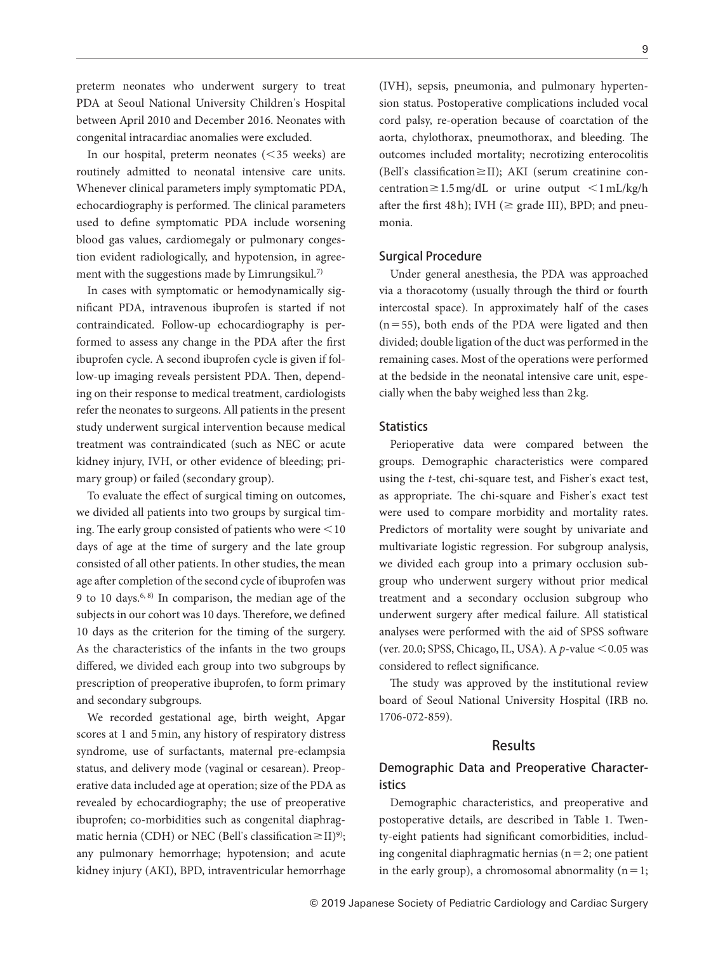preterm neonates who underwent surgery to treat PDA at Seoul National University Children's Hospital between April 2010 and December 2016. Neonates with congenital intracardiac anomalies were excluded.

In our hospital, preterm neonates (<35 weeks) are routinely admitted to neonatal intensive care units. Whenever clinical parameters imply symptomatic PDA, echocardiography is performed. The clinical parameters used to define symptomatic PDA include worsening blood gas values, cardiomegaly or pulmonary congestion evident radiologically, and hypotension, in agreement with the suggestions made by Limrungsikul.<sup>7)</sup>

In cases with symptomatic or hemodynamically significant PDA, intravenous ibuprofen is started if not contraindicated. Follow-up echocardiography is performed to assess any change in the PDA after the first ibuprofen cycle. A second ibuprofen cycle is given if follow-up imaging reveals persistent PDA. Then, depending on their response to medical treatment, cardiologists refer the neonates to surgeons. All patients in the present study underwent surgical intervention because medical treatment was contraindicated (such as NEC or acute kidney injury, IVH, or other evidence of bleeding; primary group) or failed (secondary group).

To evaluate the effect of surgical timing on outcomes, we divided all patients into two groups by surgical timing. The early group consisted of patients who were  $\leq 10$ days of age at the time of surgery and the late group consisted of all other patients. In other studies, the mean age after completion of the second cycle of ibuprofen was 9 to 10 days.6, 8) In comparison, the median age of the subjects in our cohort was 10 days. Therefore, we defined 10 days as the criterion for the timing of the surgery. As the characteristics of the infants in the two groups differed, we divided each group into two subgroups by prescription of preoperative ibuprofen, to form primary and secondary subgroups.

We recorded gestational age, birth weight, Apgar scores at 1 and 5 min, any history of respiratory distress syndrome, use of surfactants, maternal pre-eclampsia status, and delivery mode (vaginal or cesarean). Preoperative data included age at operation; size of the PDA as revealed by echocardiography; the use of preoperative ibuprofen; co-morbidities such as congenital diaphragmatic hernia (CDH) or NEC (Bell's classification≥II)<sup>9)</sup>; any pulmonary hemorrhage; hypotension; and acute kidney injury (AKI), BPD, intraventricular hemorrhage

e de la construcción de la construcción de la construcción de la construcción de la construcción de la constru

(IVH), sepsis, pneumonia, and pulmonary hypertension status. Postoperative complications included vocal cord palsy, re-operation because of coarctation of the aorta, chylothorax, pneumothorax, and bleeding. The outcomes included mortality; necrotizing enterocolitis (Bell's classification≥II); AKI (serum creatinine concentration≥1.5 mg/dL or urine output <1 mL/kg/h after the first 48 h); IVH ( $\geq$  grade III), BPD; and pneumonia.

## Surgical Procedure

Under general anesthesia, the PDA was approached via a thoracotomy (usually through the third or fourth intercostal space). In approximately half of the cases  $(n=55)$ , both ends of the PDA were ligated and then divided; double ligation of the duct was performed in the remaining cases. Most of the operations were performed at the bedside in the neonatal intensive care unit, especially when the baby weighed less than 2 kg.

## **Statistics**

Perioperative data were compared between the groups. Demographic characteristics were compared using the *t*-test, chi-square test, and Fisher's exact test, as appropriate. The chi-square and Fisher's exact test were used to compare morbidity and mortality rates. Predictors of mortality were sought by univariate and multivariate logistic regression. For subgroup analysis, we divided each group into a primary occlusion subgroup who underwent surgery without prior medical treatment and a secondary occlusion subgroup who underwent surgery after medical failure. All statistical analyses were performed with the aid of SPSS software (ver. 20.0; SPSS, Chicago, IL, USA). A *p*-value <0.05 was considered to reflect significance.

The study was approved by the institutional review board of Seoul National University Hospital (IRB no. 1706-072-859).

# Results

# Demographic Data and Preoperative Characteristics

Demographic characteristics, and preoperative and postoperative details, are described in Table 1. Twenty-eight patients had significant comorbidities, including congenital diaphragmatic hernias ( $n=2$ ; one patient in the early group), a chromosomal abnormality  $(n=1;$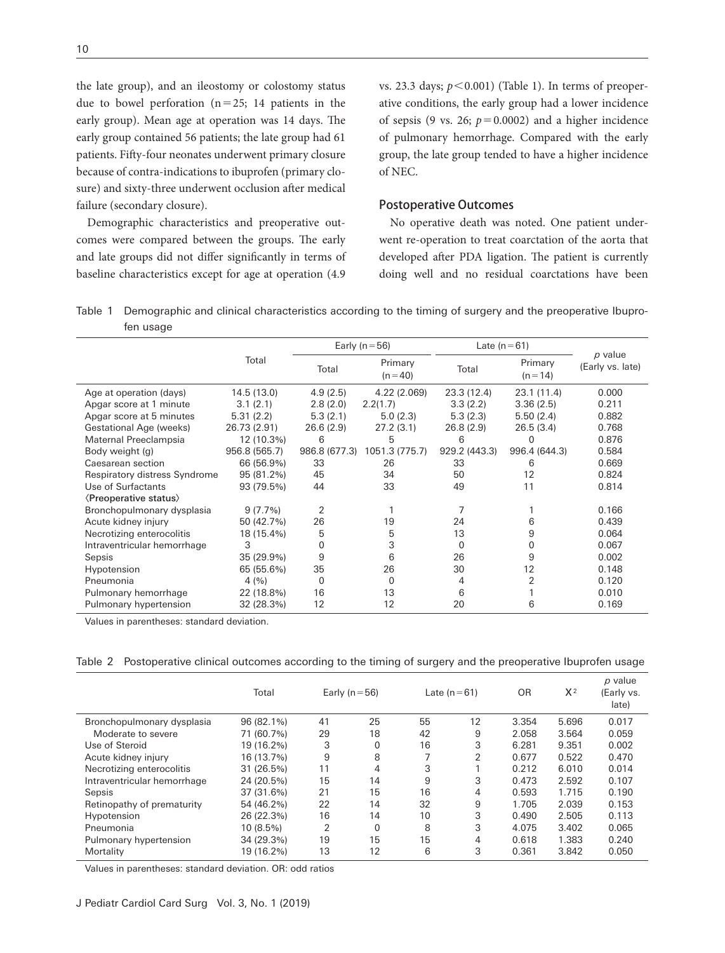the late group), and an ileostomy or colostomy status due to bowel perforation  $(n=25; 14$  patients in the early group). Mean age at operation was 14 days. The early group contained 56 patients; the late group had 61 patients. Fifty-four neonates underwent primary closure because of contra-indications to ibuprofen (primary closure) and sixty-three underwent occlusion after medical failure (secondary closure).

Demographic characteristics and preoperative outcomes were compared between the groups. The early and late groups did not differ significantly in terms of baseline characteristics except for age at operation (4.9 vs. 23.3 days; *p*<0.001) (Table 1). In terms of preoperative conditions, the early group had a lower incidence of sepsis (9 vs. 26;  $p=0.0002$ ) and a higher incidence of pulmonary hemorrhage. Compared with the early group, the late group tended to have a higher incidence of NEC.

# Postoperative Outcomes

No operative death was noted. One patient underwent re-operation to treat coarctation of the aorta that developed after PDA ligation. The patient is currently doing well and no residual coarctations have been

Table 1 Demographic and clinical characteristics according to the timing of surgery and the preoperative Ibuprofen usage

|                                            |               | Early ( $n = 56$ ) |                       | Late $(n=61)$ |                       |                               |
|--------------------------------------------|---------------|--------------------|-----------------------|---------------|-----------------------|-------------------------------|
|                                            | Total         | Total              | Primary<br>$(n = 40)$ | Total         | Primary<br>$(n = 14)$ | $p$ value<br>(Early vs. late) |
| Age at operation (days)                    | 14.5 (13.0)   | 4.9(2.5)           | 4.22 (2.069)          | 23.3 (12.4)   | 23.1(11.4)            | 0.000                         |
| Apgar score at 1 minute                    | 3.1(2.1)      | 2.8(2.0)           | 2.2(1.7)              | 3.3(2.2)      | 3.36(2.5)             | 0.211                         |
| Apgar score at 5 minutes                   | 5.31(2.2)     | 5.3(2.1)           | 5.0(2.3)              | 5.3(2.3)      | 5.50(2.4)             | 0.882                         |
| Gestational Age (weeks)                    | 26.73 (2.91)  | 26.6(2.9)          | 27.2(3.1)             | 26.8(2.9)     | 26.5(3.4)             | 0.768                         |
| Maternal Preeclampsia                      | 12 (10.3%)    | 6                  | 5                     | 6             | 0                     | 0.876                         |
| Body weight (g)                            | 956.8 (565.7) | 986.8 (677.3)      | 1051.3 (775.7)        | 929.2 (443.3) | 996.4 (644.3)         | 0.584                         |
| Caesarean section                          | 66 (56.9%)    | 33                 | 26                    | 33            | 6                     | 0.669                         |
| Respiratory distress Syndrome              | 95 (81.2%)    | 45                 | 34                    | 50            | 12                    | 0.824                         |
| Use of Surfactants                         | 93 (79.5%)    | 44                 | 33                    | 49            | 11                    | 0.814                         |
| <b><i><u>(Preoperative status)</u></i></b> |               |                    |                       |               |                       |                               |
| Bronchopulmonary dysplasia                 | 9(7.7%)       | 2                  |                       | 7             |                       | 0.166                         |
| Acute kidney injury                        | 50 (42.7%)    | 26                 | 19                    | 24            | 6                     | 0.439                         |
| Necrotizing enterocolitis                  | 18 (15.4%)    | 5                  | 5                     | 13            | 9                     | 0.064                         |
| Intraventricular hemorrhage                | 3             | $\Omega$           | 3                     | $\Omega$      | $\Omega$              | 0.067                         |
| Sepsis                                     | 35 (29.9%)    | 9                  | 6                     | 26            | 9                     | 0.002                         |
| Hypotension                                | 65 (55.6%)    | 35                 | 26                    | 30            | 12                    | 0.148                         |
| Pneumonia                                  | 4(%)          | 0                  | 0                     | 4             | 2                     | 0.120                         |
| Pulmonary hemorrhage                       | 22 (18.8%)    | 16                 | 13                    | 6             |                       | 0.010                         |
| Pulmonary hypertension                     | 32 (28.3%)    | 12                 | 12                    | 20            | 6                     | 0.169                         |

Values in parentheses: standard deviation.

| Table 2 Postoperative clinical outcomes according to the timing of surgery and the preoperative Ibuprofen usage |  |  |  |
|-----------------------------------------------------------------------------------------------------------------|--|--|--|
|                                                                                                                 |  |  |  |

|                             | Total      |    | Early ( $n = 56$ ) |    | Late $(n=61)$  | 0R    | $X^2$ | p value<br>(Early vs.<br>late) |
|-----------------------------|------------|----|--------------------|----|----------------|-------|-------|--------------------------------|
| Bronchopulmonary dysplasia  | 96 (82.1%) | 41 | 25                 | 55 | 12             | 3.354 | 5.696 | 0.017                          |
| Moderate to severe          | 71 (60.7%) | 29 | 18                 | 42 | 9              | 2.058 | 3.564 | 0.059                          |
| Use of Steroid              | 19 (16.2%) | 3  | $\Omega$           | 16 | 3              | 6.281 | 9.351 | 0.002                          |
| Acute kidney injury         | 16 (13.7%) | 9  | 8                  | ⇁  | $\overline{2}$ | 0.677 | 0.522 | 0.470                          |
| Necrotizing enterocolitis   | 31 (26.5%) | 11 | 4                  | 3  |                | 0.212 | 6.010 | 0.014                          |
| Intraventricular hemorrhage | 24 (20.5%) | 15 | 14                 | 9  | 3              | 0.473 | 2.592 | 0.107                          |
| Sepsis                      | 37 (31.6%) | 21 | 15                 | 16 | 4              | 0.593 | 1.715 | 0.190                          |
| Retinopathy of prematurity  | 54 (46.2%) | 22 | 14                 | 32 | 9              | 1.705 | 2.039 | 0.153                          |
| Hypotension                 | 26 (22.3%) | 16 | 14                 | 10 | 3              | 0.490 | 2.505 | 0.113                          |
| Pneumonia                   | 10 (8.5%)  | 2  | $\Omega$           | 8  | 3              | 4.075 | 3.402 | 0.065                          |
| Pulmonary hypertension      | 34 (29.3%) | 19 | 15                 | 15 | 4              | 0.618 | 1.383 | 0.240                          |
| Mortality                   | 19 (16.2%) | 13 | 12                 | 6  | 3              | 0.361 | 3.842 | 0.050                          |

Values in parentheses: standard deviation. OR: odd ratios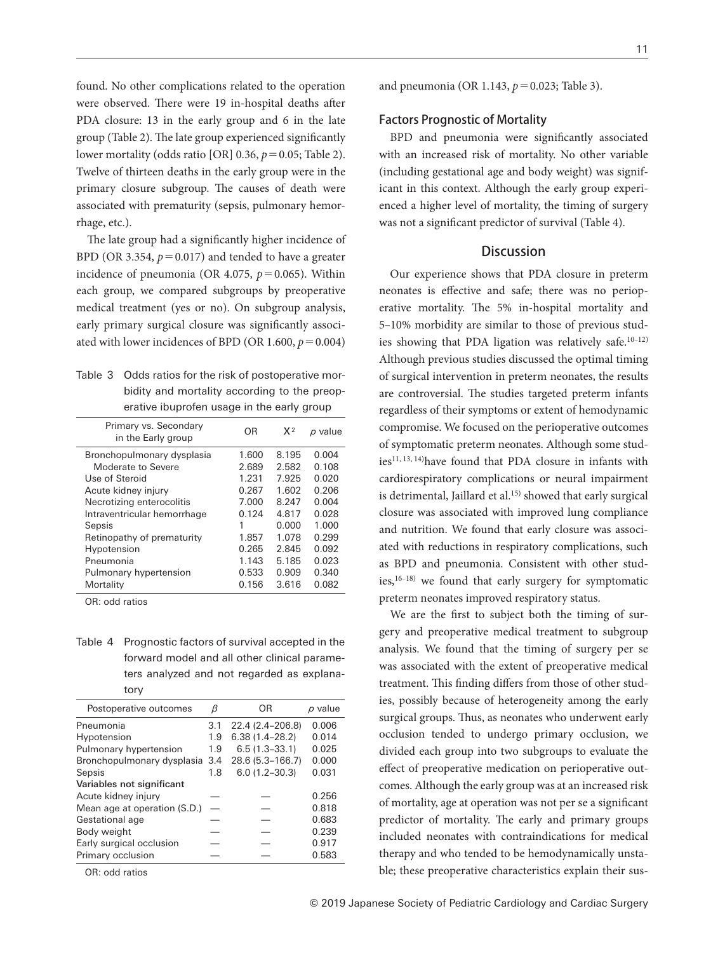found. No other complications related to the operation were observed. There were 19 in-hospital deaths after PDA closure: 13 in the early group and 6 in the late group (Table 2). The late group experienced significantly lower mortality (odds ratio [OR] 0.36, *p*=0.05; Table 2). Twelve of thirteen deaths in the early group were in the primary closure subgroup. The causes of death were associated with prematurity (sepsis, pulmonary hemorrhage, etc.).

The late group had a significantly higher incidence of BPD (OR 3.354,  $p = 0.017$ ) and tended to have a greater incidence of pneumonia (OR 4.075,  $p = 0.065$ ). Within each group, we compared subgroups by preoperative medical treatment (yes or no). On subgroup analysis, early primary surgical closure was significantly associated with lower incidences of BPD (OR 1.600,  $p = 0.004$ )

| Table 3 Odds ratios for the risk of postoperative mor- |
|--------------------------------------------------------|
| bidity and mortality according to the preop-           |
| erative ibuprofen usage in the early group             |

| Primary vs. Secondary<br>in the Early group | OR    | X <sup>2</sup> | p value |
|---------------------------------------------|-------|----------------|---------|
| Bronchopulmonary dysplasia                  | 1.600 | 8 1 9 5        | 0.004   |
| Moderate to Severe                          | 2.689 | 2.582          | 0.108   |
| Use of Steroid                              | 1.231 | 7.925          | 0.020   |
| Acute kidney injury                         | 0.267 | 1.602          | 0.206   |
| Necrotizing enterocolitis                   | 7.000 | 8.247          | 0.004   |
| Intraventricular hemorrhage                 | 0.124 | 4.817          | 0.028   |
| Sepsis                                      | 1     | 0.000          | 1.000   |
| Retinopathy of prematurity                  | 1.857 | 1.078          | 0.299   |
| Hypotension                                 | 0.265 | 2.845          | 0.092   |
| Pneumonia                                   | 1.143 | 5.185          | 0.023   |
| Pulmonary hypertension                      | 0.533 | 0.909          | 0.340   |
| Mortality                                   | 0.156 | 3.616          | 0.082   |

OR: odd ratios

Table 4 Prognostic factors of survival accepted in the forward model and all other clinical parameters analyzed and not regarded as explanatory

| Postoperative outcomes       | β   | ΟR                 | $p$ value |
|------------------------------|-----|--------------------|-----------|
| Pneumonia                    | 3.1 | 22.4 (2.4-206.8)   | 0.006     |
| Hypotension                  | 1.9 | $6.38(1.4 - 28.2)$ | 0.014     |
| Pulmonary hypertension       | 1.9 | $6.5(1.3 - 33.1)$  | 0.025     |
| Bronchopulmonary dysplasia   | 3.4 | 28.6 (5.3-166.7)   | 0.000     |
| Sepsis                       | 1.8 | $6.0(1.2 - 30.3)$  | 0.031     |
| Variables not significant    |     |                    |           |
| Acute kidney injury          |     |                    | 0.256     |
| Mean age at operation (S.D.) |     |                    | 0.818     |
| Gestational age              |     |                    | 0.683     |
| Body weight                  |     |                    | 0.239     |
| Early surgical occlusion     |     |                    | 0.917     |
| Primary occlusion            |     |                    | 0.583     |
|                              |     |                    |           |

OR: odd ratios

and pneumonia (OR 1.143, *p*=0.023; Table 3).

#### Factors Prognostic of Mortality

BPD and pneumonia were significantly associated with an increased risk of mortality. No other variable (including gestational age and body weight) was significant in this context. Although the early group experienced a higher level of mortality, the timing of surgery was not a significant predictor of survival (Table 4).

# **Discussion**

Our experience shows that PDA closure in preterm neonates is effective and safe; there was no perioperative mortality. The 5% in-hospital mortality and 5‒10% morbidity are similar to those of previous studies showing that PDA ligation was relatively safe.<sup>10-12)</sup> Although previous studies discussed the optimal timing of surgical intervention in preterm neonates, the results are controversial. The studies targeted preterm infants regardless of their symptoms or extent of hemodynamic compromise. We focused on the perioperative outcomes of symptomatic preterm neonates. Although some studies<sup>11, 13, 14)</sup>have found that PDA closure in infants with cardiorespiratory complications or neural impairment is detrimental, Jaillard et al.<sup>15)</sup> showed that early surgical closure was associated with improved lung compliance and nutrition. We found that early closure was associated with reductions in respiratory complications, such as BPD and pneumonia. Consistent with other studies,<sup>16-18)</sup> we found that early surgery for symptomatic preterm neonates improved respiratory status.

We are the first to subject both the timing of surgery and preoperative medical treatment to subgroup analysis. We found that the timing of surgery per se was associated with the extent of preoperative medical treatment. This finding differs from those of other studies, possibly because of heterogeneity among the early surgical groups. Thus, as neonates who underwent early occlusion tended to undergo primary occlusion, we divided each group into two subgroups to evaluate the effect of preoperative medication on perioperative outcomes. Although the early group was at an increased risk of mortality, age at operation was not per se a significant predictor of mortality. The early and primary groups included neonates with contraindications for medical therapy and who tended to be hemodynamically unstable; these preoperative characteristics explain their sus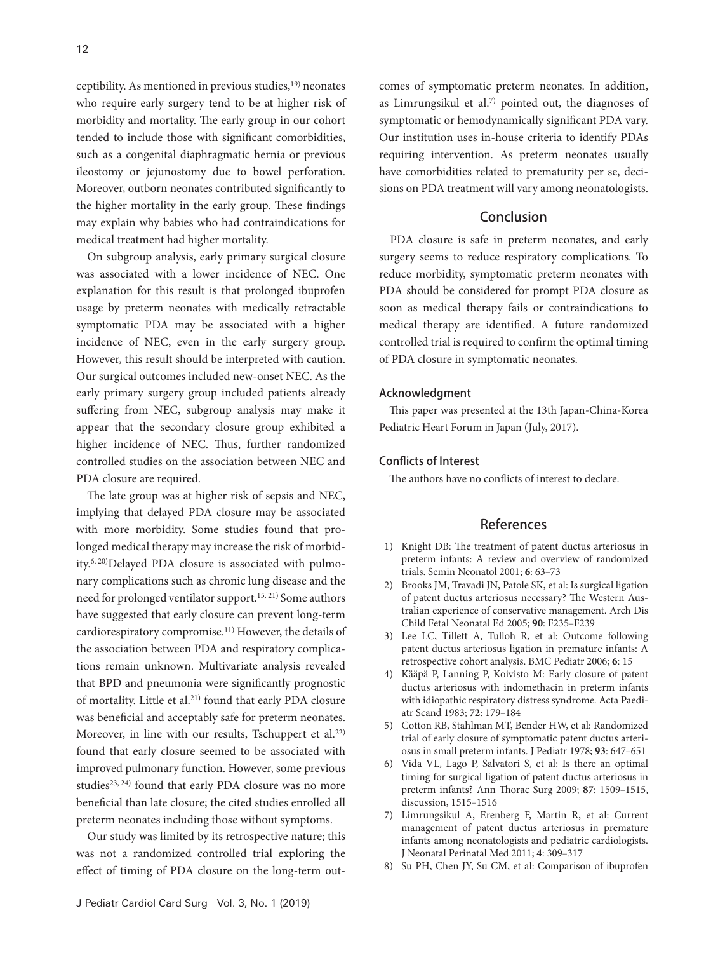ceptibility. As mentioned in previous studies,<sup>19)</sup> neonates who require early surgery tend to be at higher risk of morbidity and mortality. The early group in our cohort tended to include those with significant comorbidities, such as a congenital diaphragmatic hernia or previous ileostomy or jejunostomy due to bowel perforation. Moreover, outborn neonates contributed significantly to the higher mortality in the early group. These findings may explain why babies who had contraindications for medical treatment had higher mortality.

On subgroup analysis, early primary surgical closure was associated with a lower incidence of NEC. One explanation for this result is that prolonged ibuprofen usage by preterm neonates with medically retractable symptomatic PDA may be associated with a higher incidence of NEC, even in the early surgery group. However, this result should be interpreted with caution. Our surgical outcomes included new-onset NEC. As the early primary surgery group included patients already suffering from NEC, subgroup analysis may make it appear that the secondary closure group exhibited a higher incidence of NEC. Thus, further randomized controlled studies on the association between NEC and PDA closure are required.

The late group was at higher risk of sepsis and NEC, implying that delayed PDA closure may be associated with more morbidity. Some studies found that prolonged medical therapy may increase the risk of morbidity.6, 20)Delayed PDA closure is associated with pulmonary complications such as chronic lung disease and the need for prolonged ventilator support.15, 21) Some authors have suggested that early closure can prevent long-term cardiorespiratory compromise.11) However, the details of the association between PDA and respiratory complications remain unknown. Multivariate analysis revealed that BPD and pneumonia were significantly prognostic of mortality. Little et al.21) found that early PDA closure was beneficial and acceptably safe for preterm neonates. Moreover, in line with our results, Tschuppert et al.<sup>22)</sup> found that early closure seemed to be associated with improved pulmonary function. However, some previous studies<sup>23, 24)</sup> found that early PDA closure was no more beneficial than late closure; the cited studies enrolled all preterm neonates including those without symptoms.

Our study was limited by its retrospective nature; this was not a randomized controlled trial exploring the effect of timing of PDA closure on the long-term outcomes of symptomatic preterm neonates. In addition, as Limrungsikul et al.7) pointed out, the diagnoses of symptomatic or hemodynamically significant PDA vary. Our institution uses in-house criteria to identify PDAs requiring intervention. As preterm neonates usually have comorbidities related to prematurity per se, decisions on PDA treatment will vary among neonatologists.

# **Conclusion**

PDA closure is safe in preterm neonates, and early surgery seems to reduce respiratory complications. To reduce morbidity, symptomatic preterm neonates with PDA should be considered for prompt PDA closure as soon as medical therapy fails or contraindications to medical therapy are identified. A future randomized controlled trial is required to confirm the optimal timing of PDA closure in symptomatic neonates.

### Acknowledgment

This paper was presented at the 13th Japan-China-Korea Pediatric Heart Forum in Japan (July, 2017).

## Conflicts of Interest

The authors have no conflicts of interest to declare.

## References

- [1\) Knight DB: The treatment of patent ductus arteriosus in](http://dx.doi.org/10.1053/siny.2000.0036)  [preterm infants: A review and overview of randomized](http://dx.doi.org/10.1053/siny.2000.0036)  [trials. Semin Neonatol 2001;](http://dx.doi.org/10.1053/siny.2000.0036) **6**: 63‒73
- [2\) Brooks JM, Travadi JN, Patole SK, et al: Is surgical ligation](http://dx.doi.org/10.1136/adc.2004.057638)  [of patent ductus arteriosus necessary? The Western Aus](http://dx.doi.org/10.1136/adc.2004.057638)[tralian experience of conservative management. Arch Dis](http://dx.doi.org/10.1136/adc.2004.057638)  [Child Fetal Neonatal Ed 2005;](http://dx.doi.org/10.1136/adc.2004.057638) **90**: F235‒F239
- [3\) Lee LC, Tillett A, Tulloh R, et al: Outcome following](http://dx.doi.org/10.1186/1471-2431-6-15)  [patent ductus arteriosus ligation in premature infants: A](http://dx.doi.org/10.1186/1471-2431-6-15)  [retrospective cohort analysis. BMC Pediatr 2006;](http://dx.doi.org/10.1186/1471-2431-6-15) **6**: 15
- [4\) Kääpä P, Lanning P, Koivisto M: Early closure of patent](http://dx.doi.org/10.1111/j.1651-2227.1983.tb09693.x)  [ductus arteriosus with indomethacin in preterm infants](http://dx.doi.org/10.1111/j.1651-2227.1983.tb09693.x)  [with idiopathic respiratory distress syndrome. Acta Paedi](http://dx.doi.org/10.1111/j.1651-2227.1983.tb09693.x)[atr Scand 1983;](http://dx.doi.org/10.1111/j.1651-2227.1983.tb09693.x) **72**: 179‒184
- [5\) Cotton RB, Stahlman MT, Bender HW, et al: Randomized](http://dx.doi.org/10.1016/S0022-3476(78)80910-X)  [trial of early closure of symptomatic patent ductus arteri](http://dx.doi.org/10.1016/S0022-3476(78)80910-X)[osus in small preterm infants. J Pediatr 1978;](http://dx.doi.org/10.1016/S0022-3476(78)80910-X) 93: 647-651
- [6\) Vida VL, Lago P, Salvatori S, et al: Is there an optimal](http://dx.doi.org/10.1016/j.athoracsur.2008.12.101)  [timing for surgical ligation of patent ductus arteriosus in](http://dx.doi.org/10.1016/j.athoracsur.2008.12.101)  [preterm infants? Ann Thorac Surg 2009;](http://dx.doi.org/10.1016/j.athoracsur.2008.12.101) **87**: 1509‒1515, [discussion, 1515](http://dx.doi.org/10.1016/j.athoracsur.2008.12.101)-1516
- 7) Limrungsikul A, Erenberg F, Martin R, et al: Current management of patent ductus arteriosus in premature infants among neonatologists and pediatric cardiologists. J Neonatal Perinatal Med 2011; **4**: 309‒317
- [8\) Su PH, Chen JY, Su CM, et al: Comparison of ibuprofen](http://dx.doi.org/10.1111/j.1442-200X.2003.01797.x)